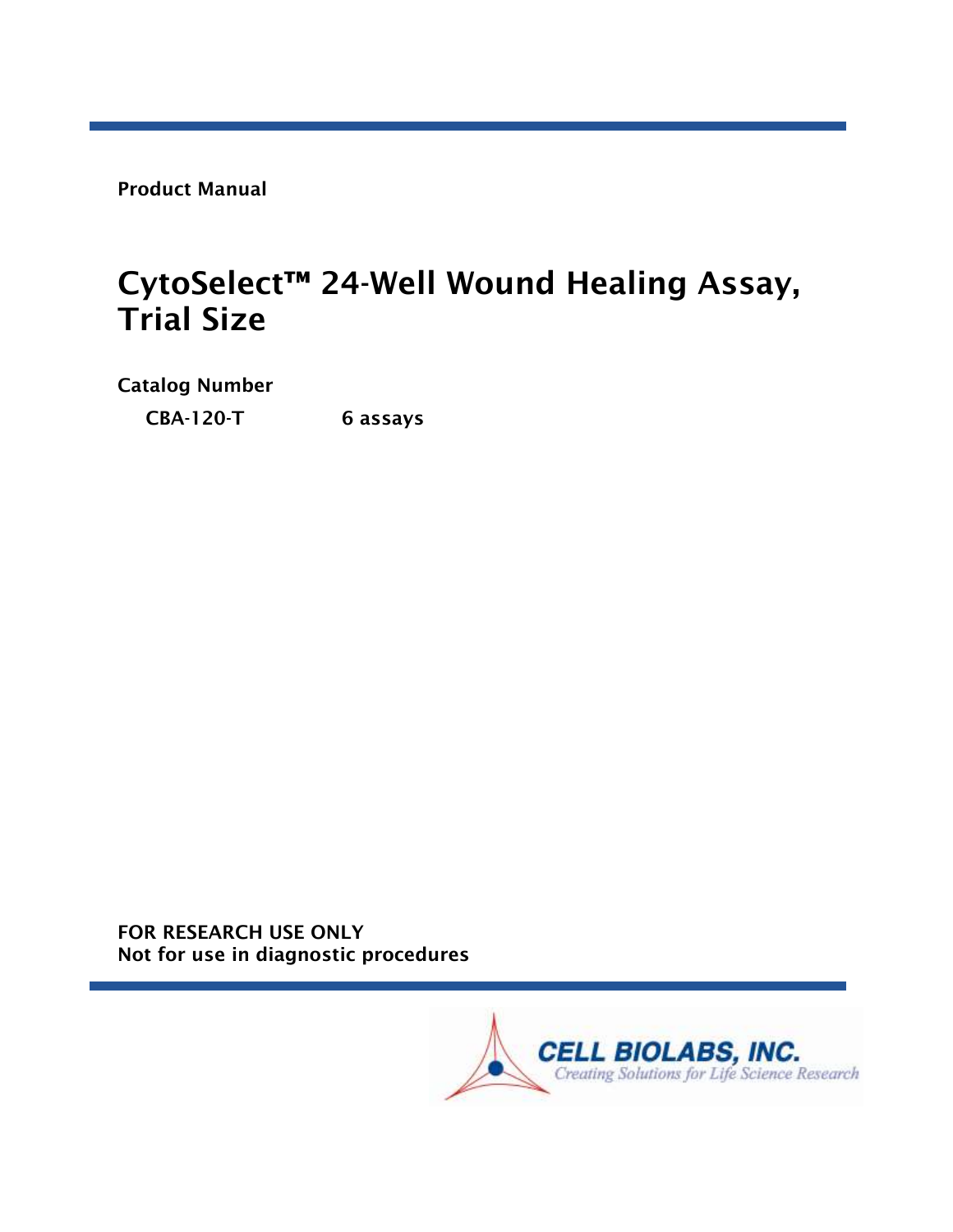Product Manual

# CytoSelect™ 24-Well Wound Healing Assay, Trial Size

Catalog Number

CBA-120-T 6 assays

FOR RESEARCH USE ONLY Not for use in diagnostic procedures

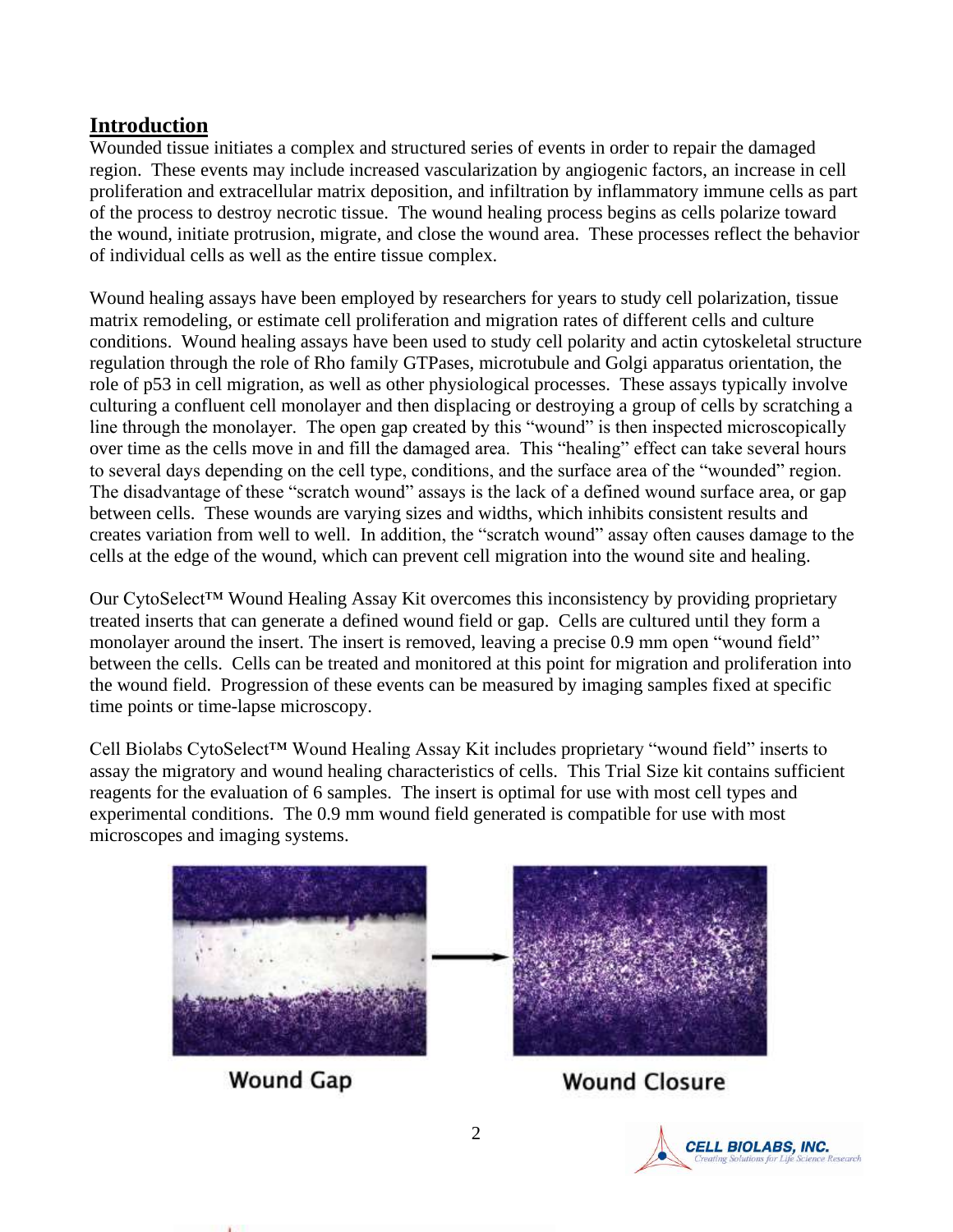#### **Introduction**

Wounded tissue initiates a complex and structured series of events in order to repair the damaged region. These events may include increased vascularization by angiogenic factors, an increase in cell proliferation and extracellular matrix deposition, and infiltration by inflammatory immune cells as part of the process to destroy necrotic tissue. The wound healing process begins as cells polarize toward the wound, initiate protrusion, migrate, and close the wound area. These processes reflect the behavior of individual cells as well as the entire tissue complex.

Wound healing assays have been employed by researchers for years to study cell polarization, tissue matrix remodeling, or estimate cell proliferation and migration rates of different cells and culture conditions. Wound healing assays have been used to study cell polarity and actin cytoskeletal structure regulation through the role of Rho family GTPases, microtubule and Golgi apparatus orientation, the role of p53 in cell migration, as well as other physiological processes. These assays typically involve culturing a confluent cell monolayer and then displacing or destroying a group of cells by scratching a line through the monolayer. The open gap created by this "wound" is then inspected microscopically over time as the cells move in and fill the damaged area. This "healing" effect can take several hours to several days depending on the cell type, conditions, and the surface area of the "wounded" region. The disadvantage of these "scratch wound" assays is the lack of a defined wound surface area, or gap between cells. These wounds are varying sizes and widths, which inhibits consistent results and creates variation from well to well. In addition, the "scratch wound" assay often causes damage to the cells at the edge of the wound, which can prevent cell migration into the wound site and healing.

Our CytoSelect™ Wound Healing Assay Kit overcomes this inconsistency by providing proprietary treated inserts that can generate a defined wound field or gap. Cells are cultured until they form a monolayer around the insert. The insert is removed, leaving a precise 0.9 mm open "wound field" between the cells. Cells can be treated and monitored at this point for migration and proliferation into the wound field. Progression of these events can be measured by imaging samples fixed at specific time points or time-lapse microscopy.

Cell Biolabs CytoSelect™ Wound Healing Assay Kit includes proprietary "wound field" inserts to assay the migratory and wound healing characteristics of cells. This Trial Size kit contains sufficient reagents for the evaluation of 6 samples. The insert is optimal for use with most cell types and experimental conditions. The 0.9 mm wound field generated is compatible for use with most microscopes and imaging systems.



**Wound Closure** 

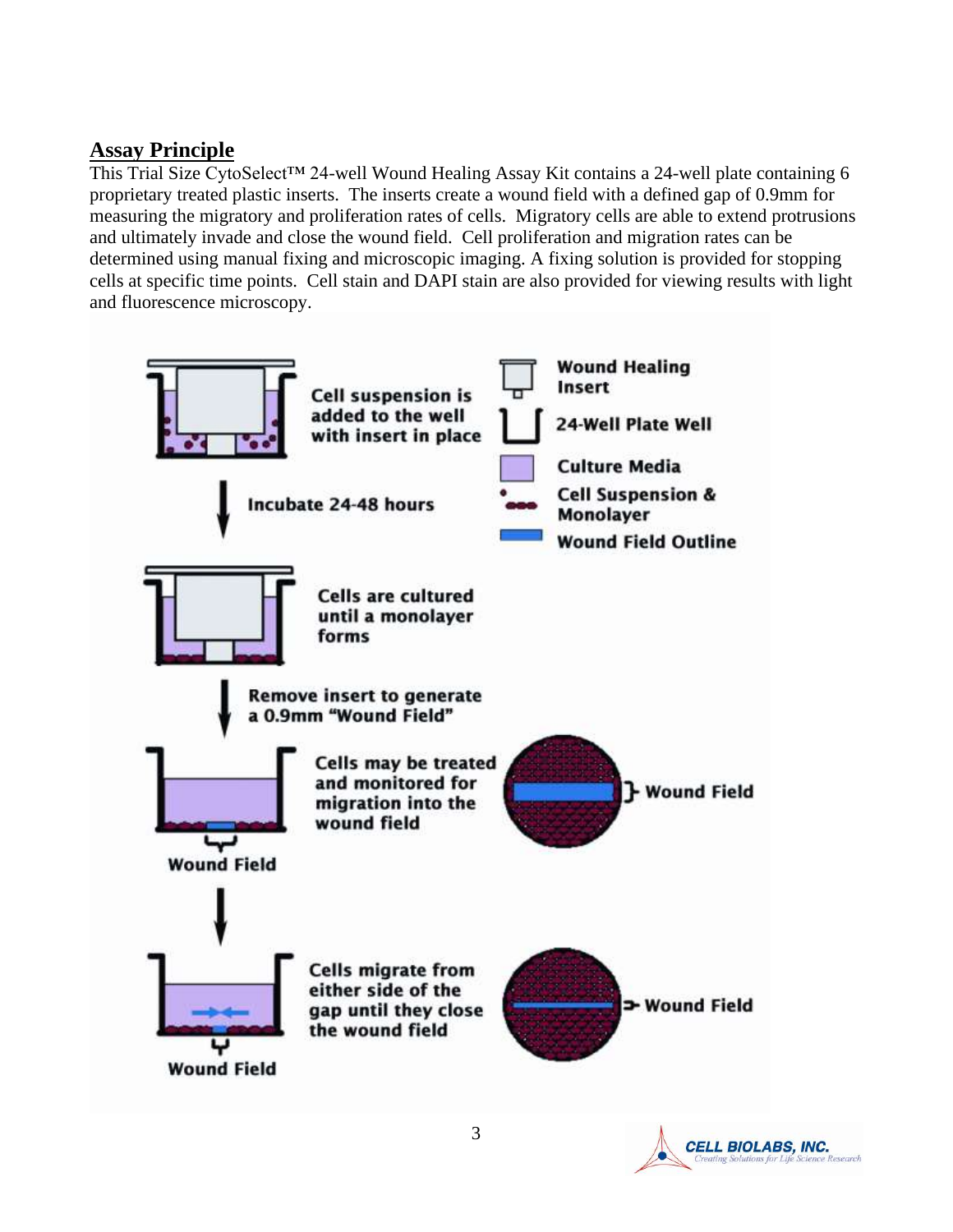#### **Assay Principle**

This Trial Size CytoSelect<sup>™</sup> 24-well Wound Healing Assay Kit contains a 24-well plate containing 6 proprietary treated plastic inserts. The inserts create a wound field with a defined gap of 0.9mm for measuring the migratory and proliferation rates of cells. Migratory cells are able to extend protrusions and ultimately invade and close the wound field. Cell proliferation and migration rates can be determined using manual fixing and microscopic imaging. A fixing solution is provided for stopping cells at specific time points. Cell stain and DAPI stain are also provided for viewing results with light and fluorescence microscopy.



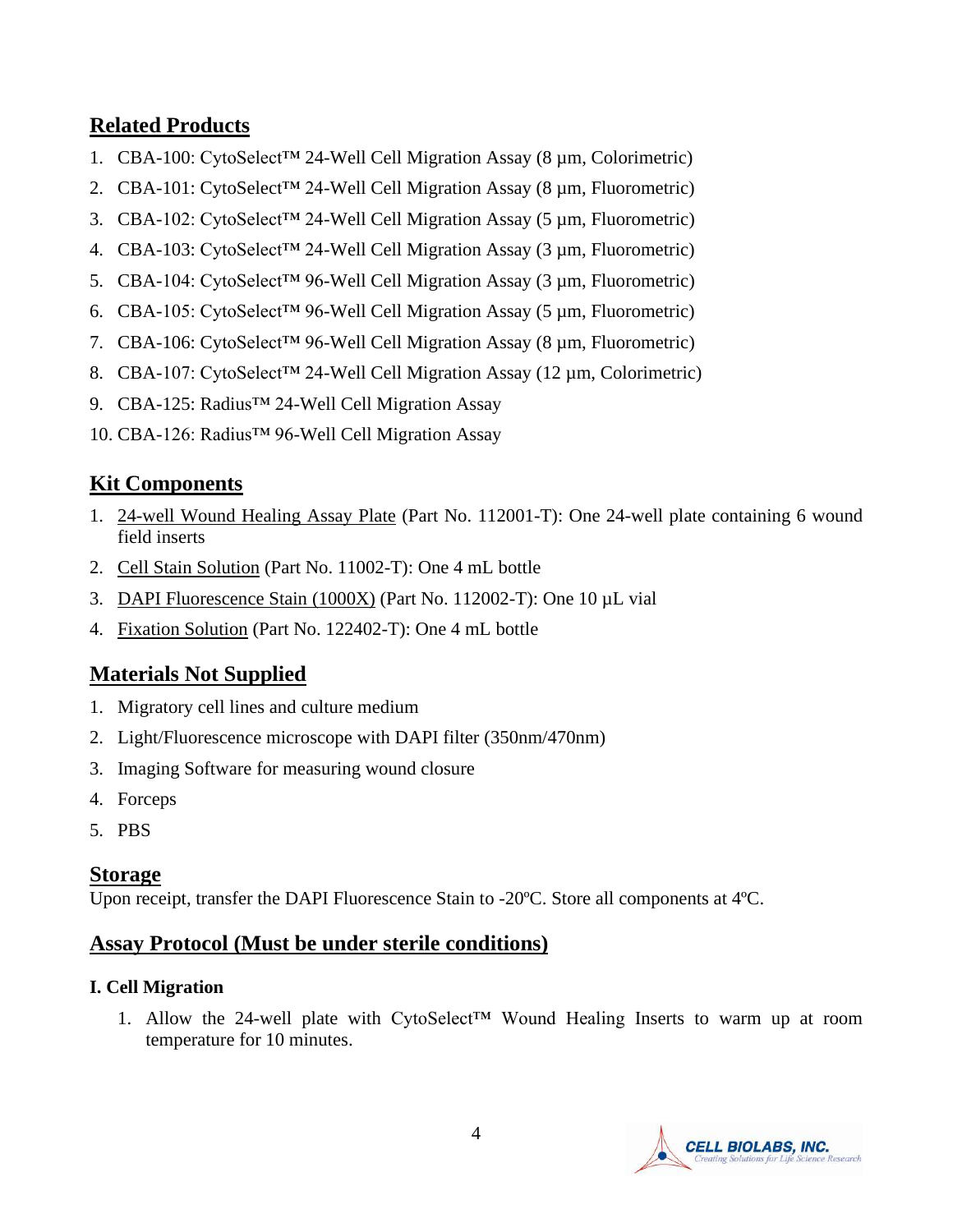## **Related Products**

- 1. CBA-100: CytoSelect™ 24-Well Cell Migration Assay (8 µm, Colorimetric)
- 2. CBA-101: CytoSelect<sup>TM</sup> 24-Well Cell Migration Assay (8  $\mu$ m, Fluorometric)
- 3. CBA-102: CytoSelect™ 24-Well Cell Migration Assay (5 µm, Fluorometric)
- 4. CBA-103: CytoSelect<sup>TM</sup> 24-Well Cell Migration Assay (3  $\mu$ m, Fluorometric)
- 5. CBA-104: CytoSelect™ 96-Well Cell Migration Assay (3 µm, Fluorometric)
- 6. CBA-105: CytoSelect<sup>TM</sup> 96-Well Cell Migration Assay (5  $\mu$ m, Fluorometric)
- 7. CBA-106: CytoSelect™ 96-Well Cell Migration Assay (8 µm, Fluorometric)
- 8. CBA-107: CytoSelect™ 24-Well Cell Migration Assay (12 µm, Colorimetric)
- 9. CBA-125: Radius<sup>™</sup> 24-Well Cell Migration Assay
- 10. CBA-126: Radius™ 96-Well Cell Migration Assay

## **Kit Components**

- 1. 24-well Wound Healing Assay Plate (Part No. 112001-T): One 24-well plate containing 6 wound field inserts
- 2. Cell Stain Solution (Part No. 11002-T): One 4 mL bottle
- 3. DAPI Fluorescence Stain (1000X) (Part No. 112002-T): One 10 µL vial
- 4. Fixation Solution (Part No. 122402-T): One 4 mL bottle

## **Materials Not Supplied**

- 1. Migratory cell lines and culture medium
- 2. Light/Fluorescence microscope with DAPI filter (350nm/470nm)
- 3. Imaging Software for measuring wound closure
- 4. Forceps
- 5. PBS

#### **Storage**

Upon receipt, transfer the DAPI Fluorescence Stain to -20ºC. Store all components at 4ºC.

## **Assay Protocol (Must be under sterile conditions)**

#### **I. Cell Migration**

1. Allow the 24-well plate with CytoSelect™ Wound Healing Inserts to warm up at room temperature for 10 minutes.

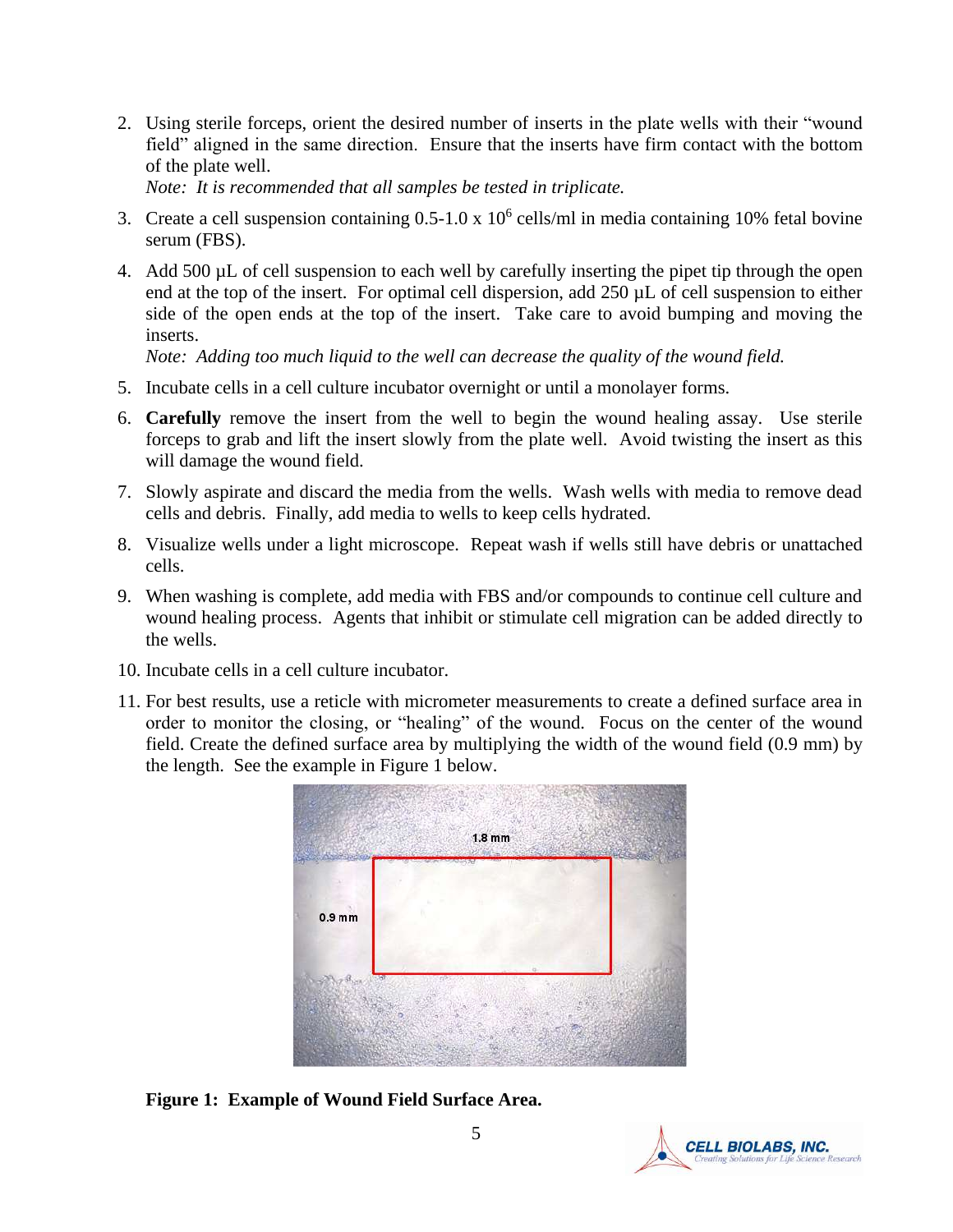2. Using sterile forceps, orient the desired number of inserts in the plate wells with their "wound field" aligned in the same direction. Ensure that the inserts have firm contact with the bottom of the plate well.

*Note: It is recommended that all samples be tested in triplicate.*

- 3. Create a cell suspension containing  $0.5{\text -}1.0 \times 10^6$  cells/ml in media containing 10% fetal bovine serum (FBS).
- 4. Add 500 µL of cell suspension to each well by carefully inserting the pipet tip through the open end at the top of the insert. For optimal cell dispersion, add 250 µL of cell suspension to either side of the open ends at the top of the insert. Take care to avoid bumping and moving the inserts.

*Note: Adding too much liquid to the well can decrease the quality of the wound field.*

- 5. Incubate cells in a cell culture incubator overnight or until a monolayer forms.
- 6. **Carefully** remove the insert from the well to begin the wound healing assay. Use sterile forceps to grab and lift the insert slowly from the plate well. Avoid twisting the insert as this will damage the wound field.
- 7. Slowly aspirate and discard the media from the wells. Wash wells with media to remove dead cells and debris. Finally, add media to wells to keep cells hydrated.
- 8. Visualize wells under a light microscope. Repeat wash if wells still have debris or unattached cells.
- 9. When washing is complete, add media with FBS and/or compounds to continue cell culture and wound healing process. Agents that inhibit or stimulate cell migration can be added directly to the wells.
- 10. Incubate cells in a cell culture incubator.
- 11. For best results, use a reticle with micrometer measurements to create a defined surface area in order to monitor the closing, or "healing" of the wound. Focus on the center of the wound field. Create the defined surface area by multiplying the width of the wound field (0.9 mm) by the length. See the example in Figure 1 below.



**Figure 1: Example of Wound Field Surface Area.** 

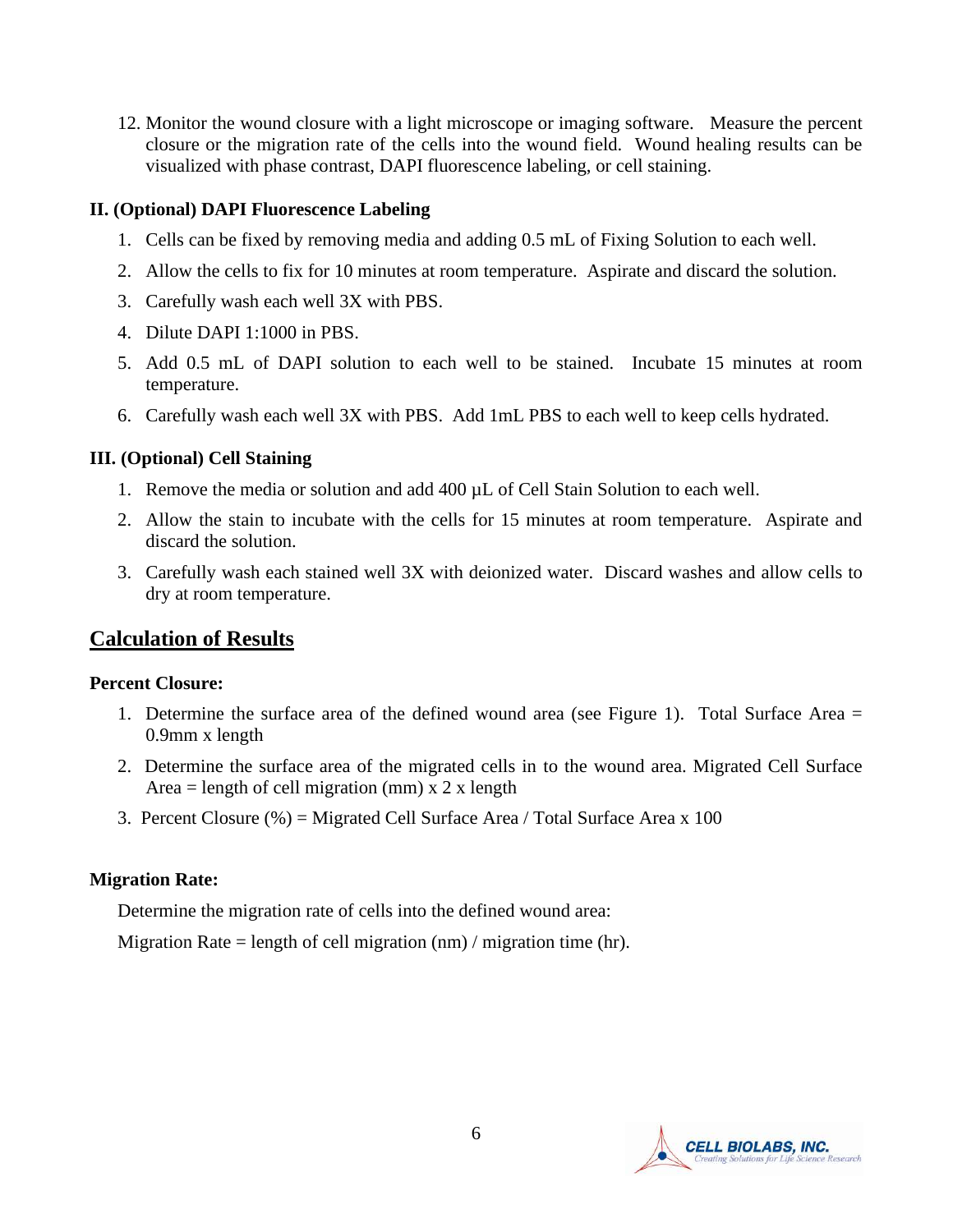12. Monitor the wound closure with a light microscope or imaging software. Measure the percent closure or the migration rate of the cells into the wound field. Wound healing results can be visualized with phase contrast, DAPI fluorescence labeling, or cell staining.

#### **II. (Optional) DAPI Fluorescence Labeling**

- 1. Cells can be fixed by removing media and adding 0.5 mL of Fixing Solution to each well.
- 2. Allow the cells to fix for 10 minutes at room temperature. Aspirate and discard the solution.
- 3. Carefully wash each well 3X with PBS.
- 4. Dilute DAPI 1:1000 in PBS.
- 5. Add 0.5 mL of DAPI solution to each well to be stained. Incubate 15 minutes at room temperature.
- 6. Carefully wash each well 3X with PBS. Add 1mL PBS to each well to keep cells hydrated.

#### **III. (Optional) Cell Staining**

- 1. Remove the media or solution and add  $400 \mu L$  of Cell Stain Solution to each well.
- 2. Allow the stain to incubate with the cells for 15 minutes at room temperature. Aspirate and discard the solution.
- 3. Carefully wash each stained well 3X with deionized water. Discard washes and allow cells to dry at room temperature.

## **Calculation of Results**

#### **Percent Closure:**

- 1. Determine the surface area of the defined wound area (see Figure 1). Total Surface Area = 0.9mm x length
- 2. Determine the surface area of the migrated cells in to the wound area. Migrated Cell Surface Area = length of cell migration (mm)  $x$  2 x length
- 3. Percent Closure (%) = Migrated Cell Surface Area / Total Surface Area x 100

#### **Migration Rate:**

Determine the migration rate of cells into the defined wound area:

Migration Rate = length of cell migration (nm) / migration time (hr).

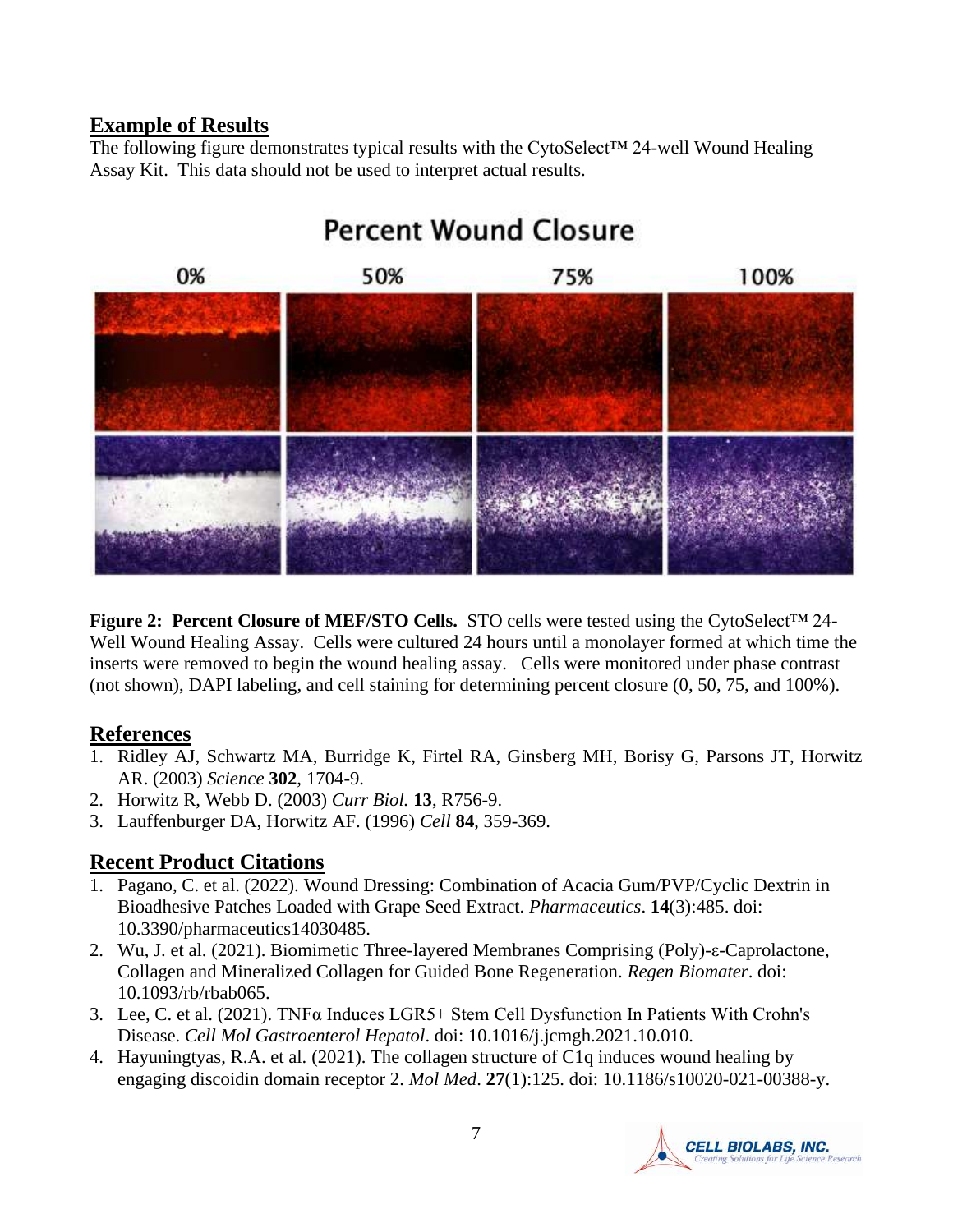#### **Example of Results**

The following figure demonstrates typical results with the CytoSelect™ 24-well Wound Healing Assay Kit. This data should not be used to interpret actual results.



## **Percent Wound Closure**

**Figure 2: Percent Closure of MEF/STO Cells.** STO cells were tested using the CytoSelect™ 24- Well Wound Healing Assay. Cells were cultured 24 hours until a monolayer formed at which time the inserts were removed to begin the wound healing assay. Cells were monitored under phase contrast (not shown), DAPI labeling, and cell staining for determining percent closure (0, 50, 75, and 100%).

#### **References**

- 1. Ridley AJ, Schwartz MA, Burridge K, Firtel RA, Ginsberg MH, Borisy G, Parsons JT, Horwitz AR. (2003) *Science* **302**, 1704-9.
- 2. Horwitz R, Webb D. (2003) *Curr Biol.* **13**, R756-9.
- 3. Lauffenburger DA, Horwitz AF. (1996) *Cell* **84**, 359-369.

## **Recent Product Citations**

- 1. Pagano, C. et al. (2022). Wound Dressing: Combination of Acacia Gum/PVP/Cyclic Dextrin in Bioadhesive Patches Loaded with Grape Seed Extract. *Pharmaceutics*. **14**(3):485. doi: 10.3390/pharmaceutics14030485.
- 2. Wu, J. et al. (2021). Biomimetic Three-layered Membranes Comprising (Poly)-ε-Caprolactone, Collagen and Mineralized Collagen for Guided Bone Regeneration. *Regen Biomater*. doi: 10.1093/rb/rbab065.
- 3. Lee, C. et al. (2021). TNFα Induces LGR5+ Stem Cell Dysfunction In Patients With Crohn's Disease. *Cell Mol Gastroenterol Hepatol*. doi: 10.1016/j.jcmgh.2021.10.010.
- 4. Hayuningtyas, R.A. et al. (2021). The collagen structure of C1q induces wound healing by engaging discoidin domain receptor 2. *Mol Med*. **27**(1):125. doi: 10.1186/s10020-021-00388-y.

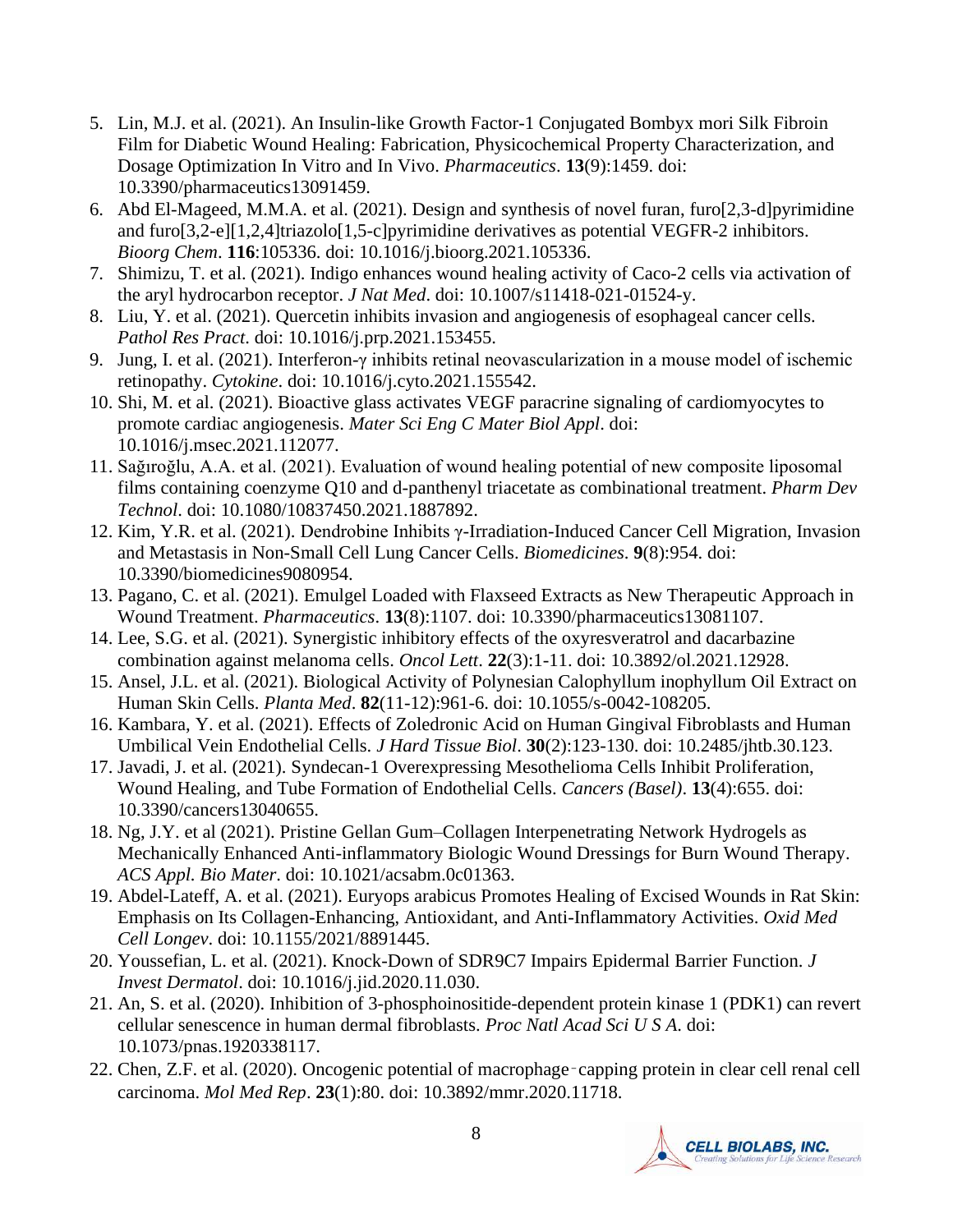- 5. Lin, M.J. et al. (2021). An Insulin-like Growth Factor-1 Conjugated Bombyx mori Silk Fibroin Film for Diabetic Wound Healing: Fabrication, Physicochemical Property Characterization, and Dosage Optimization In Vitro and In Vivo. *Pharmaceutics*. **13**(9):1459. doi: 10.3390/pharmaceutics13091459.
- 6. Abd El-Mageed, M.M.A. et al. (2021). Design and synthesis of novel furan, furo[2,3-d]pyrimidine and furo[3,2-e][1,2,4]triazolo[1,5-c]pyrimidine derivatives as potential VEGFR-2 inhibitors. *Bioorg Chem*. **116**:105336. doi: 10.1016/j.bioorg.2021.105336.
- 7. Shimizu, T. et al. (2021). Indigo enhances wound healing activity of Caco-2 cells via activation of the aryl hydrocarbon receptor. *J Nat Med*. doi: 10.1007/s11418-021-01524-y.
- 8. Liu, Y. et al. (2021). Quercetin inhibits invasion and angiogenesis of esophageal cancer cells. *Pathol Res Pract*. doi: 10.1016/j.prp.2021.153455.
- 9. Jung, I. et al. (2021). Interferon-γ inhibits retinal neovascularization in a mouse model of ischemic retinopathy. *Cytokine*. doi: 10.1016/j.cyto.2021.155542.
- 10. Shi, M. et al. (2021). Bioactive glass activates VEGF paracrine signaling of cardiomyocytes to promote cardiac angiogenesis. *Mater Sci Eng C Mater Biol Appl*. doi: 10.1016/j.msec.2021.112077.
- 11. Sağıroğlu, A.A. et al. (2021). Evaluation of wound healing potential of new composite liposomal films containing coenzyme Q10 and d-panthenyl triacetate as combinational treatment. *Pharm Dev Technol*. doi: 10.1080/10837450.2021.1887892.
- 12. Kim, Y.R. et al. (2021). Dendrobine Inhibits γ-Irradiation-Induced Cancer Cell Migration, Invasion and Metastasis in Non-Small Cell Lung Cancer Cells. *Biomedicines*. **9**(8):954. doi: 10.3390/biomedicines9080954.
- 13. Pagano, C. et al. (2021). Emulgel Loaded with Flaxseed Extracts as New Therapeutic Approach in Wound Treatment. *Pharmaceutics*. **13**(8):1107. doi: 10.3390/pharmaceutics13081107.
- 14. Lee, S.G. et al. (2021). Synergistic inhibitory effects of the oxyresveratrol and dacarbazine combination against melanoma cells. *Oncol Lett*. **22**(3):1-11. doi: 10.3892/ol.2021.12928.
- 15. Ansel, J.L. et al. (2021). Biological Activity of Polynesian Calophyllum inophyllum Oil Extract on Human Skin Cells. *Planta Med*. **82**(11-12):961-6. doi: 10.1055/s-0042-108205.
- 16. Kambara, Y. et al. (2021). Effects of Zoledronic Acid on Human Gingival Fibroblasts and Human Umbilical Vein Endothelial Cells. *J Hard Tissue Biol*. **30**(2):123-130. doi: 10.2485/jhtb.30.123.
- 17. Javadi, J. et al. (2021). Syndecan-1 Overexpressing Mesothelioma Cells Inhibit Proliferation, Wound Healing, and Tube Formation of Endothelial Cells. *Cancers (Basel)*. **13**(4):655. doi: 10.3390/cancers13040655.
- 18. Ng, J.Y. et al (2021). Pristine Gellan Gum–Collagen Interpenetrating Network Hydrogels as Mechanically Enhanced Anti-inflammatory Biologic Wound Dressings for Burn Wound Therapy. *ACS Appl. Bio Mater*. doi: 10.1021/acsabm.0c01363.
- 19. Abdel-Lateff, A. et al. (2021). Euryops arabicus Promotes Healing of Excised Wounds in Rat Skin: Emphasis on Its Collagen-Enhancing, Antioxidant, and Anti-Inflammatory Activities. *Oxid Med Cell Longev*. doi: 10.1155/2021/8891445.
- 20. Youssefian, L. et al. (2021). Knock-Down of SDR9C7 Impairs Epidermal Barrier Function. *J Invest Dermatol*. doi: 10.1016/j.jid.2020.11.030.
- 21. An, S. et al. (2020). Inhibition of 3-phosphoinositide-dependent protein kinase 1 (PDK1) can revert cellular senescence in human dermal fibroblasts. *Proc Natl Acad Sci U S A*. doi: 10.1073/pnas.1920338117.
- 22. Chen, Z.F. et al. (2020). Oncogenic potential of macrophage‑capping protein in clear cell renal cell carcinoma. *Mol Med Rep*. **23**(1):80. doi: 10.3892/mmr.2020.11718.